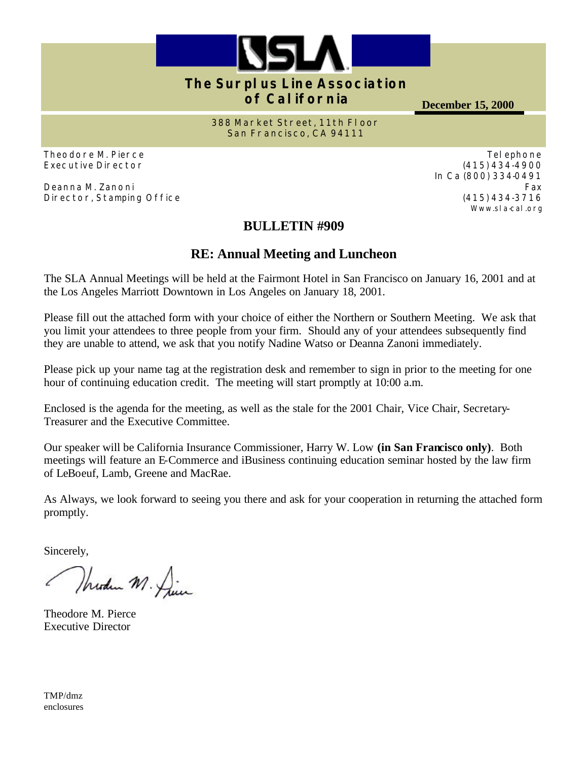

#### **The Surplus Line Association of California**

**December 15, 2000**

**388 Market Street, 11th Floor San Francisco, CA 94111**

Theodore M. Pierce Executive Director

Deanna M. Zanoni Director, Stamping Office

### **BULLETIN #909**

### **RE: Annual Meeting and Luncheon**

The SLA Annual Meetings will be held at the Fairmont Hotel in San Francisco on January 16, 2001 and at the Los Angeles Marriott Downtown in Los Angeles on January 18, 2001.

Please fill out the attached form with your choice of either the Northern or Southern Meeting. We ask that you limit your attendees to three people from your firm. Should any of your attendees subsequently find they are unable to attend, we ask that you notify Nadine Watso or Deanna Zanoni immediately.

Please pick up your name tag at the registration desk and remember to sign in prior to the meeting for one hour of continuing education credit. The meeting will start promptly at 10:00 a.m.

Enclosed is the agenda for the meeting, as well as the stale for the 2001 Chair, Vice Chair, Secretary-Treasurer and the Executive Committee.

Our speaker will be California Insurance Commissioner, Harry W. Low **(in San Francisco only)**. Both meetings will feature an E-Commerce and iBusiness continuing education seminar hosted by the law firm of LeBoeuf, Lamb, Greene and MacRae.

As Always, we look forward to seeing you there and ask for your cooperation in returning the attached form promptly.

Sincerely,

Wherden M. Die

Theodore M. Pierce Executive Director

TMP/dmz enclosures

Telephone (415) 434-4900 In Ca (800) 334-0491 Fax (415) 434-3716 Www.sla-cal.org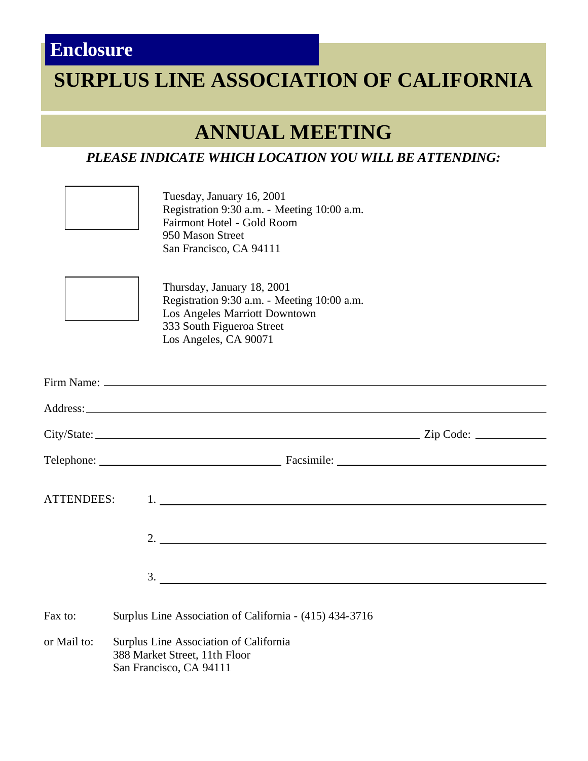## **Enclosure**

# **SURPLUS LINE ASSOCIATION OF CALIFORNIA**

## **ANNUAL MEETING**

### *PLEASE INDICATE WHICH LOCATION YOU WILL BE ATTENDING:*

Tuesday, January 16, 2001 Registration 9:30 a.m. - Meeting 10:00 a.m. Fairmont Hotel - Gold Room 950 Mason Street San Francisco, CA 94111



Thursday, January 18, 2001 Registration 9:30 a.m. - Meeting 10:00 a.m. Los Angeles Marriott Downtown 333 South Figueroa Street Los Angeles, CA 90071

|             | ATTENDEES: 1.                                                                                      |                                                                                                                                                                                                                                                                                                                        |  |
|-------------|----------------------------------------------------------------------------------------------------|------------------------------------------------------------------------------------------------------------------------------------------------------------------------------------------------------------------------------------------------------------------------------------------------------------------------|--|
|             |                                                                                                    | 2. $\frac{1}{2}$ $\frac{1}{2}$ $\frac{1}{2}$ $\frac{1}{2}$ $\frac{1}{2}$ $\frac{1}{2}$ $\frac{1}{2}$ $\frac{1}{2}$ $\frac{1}{2}$ $\frac{1}{2}$ $\frac{1}{2}$ $\frac{1}{2}$ $\frac{1}{2}$ $\frac{1}{2}$ $\frac{1}{2}$ $\frac{1}{2}$ $\frac{1}{2}$ $\frac{1}{2}$ $\frac{1}{2}$ $\frac{1}{2}$ $\frac{1}{2}$ $\frac{1}{2}$ |  |
|             |                                                                                                    | $\frac{3}{2}$                                                                                                                                                                                                                                                                                                          |  |
| Fax to:     | Surplus Line Association of California - (415) 434-3716                                            |                                                                                                                                                                                                                                                                                                                        |  |
| or Mail to: | Surplus Line Association of California<br>388 Market Street, 11th Floor<br>San Francisco, CA 94111 |                                                                                                                                                                                                                                                                                                                        |  |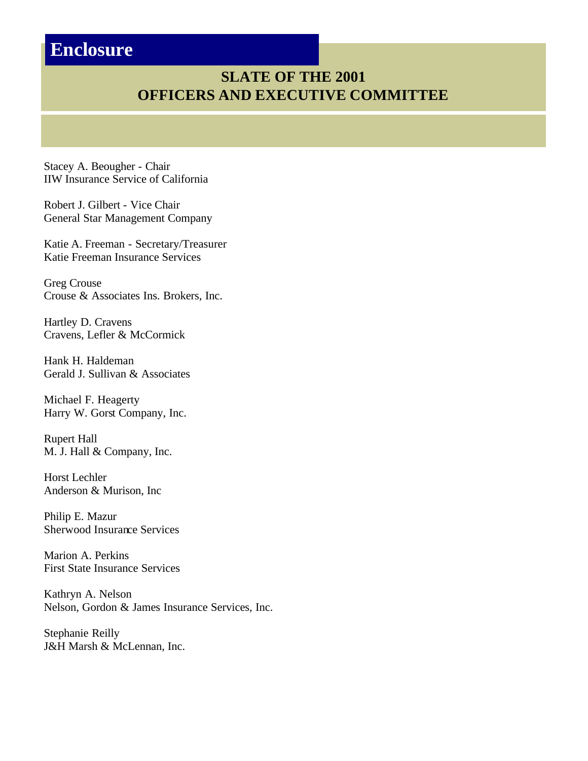## **Enclosure**

### **SLATE OF THE 2001 OFFICERS AND EXECUTIVE COMMITTEE**

Stacey A. Beougher - Chair IIW Insurance Service of California

Robert J. Gilbert - Vice Chair General Star Management Company

Katie A. Freeman - Secretary/Treasurer Katie Freeman Insurance Services

Greg Crouse Crouse & Associates Ins. Brokers, Inc.

Hartley D. Cravens Cravens, Lefler & McCormick

Hank H. Haldeman Gerald J. Sullivan & Associates

Michael F. Heagerty Harry W. Gorst Company, Inc.

Rupert Hall M. J. Hall & Company, Inc.

Horst Lechler Anderson & Murison, Inc

Philip E. Mazur Sherwood Insurance Services

Marion A. Perkins First State Insurance Services

Kathryn A. Nelson Nelson, Gordon & James Insurance Services, Inc.

Stephanie Reilly J&H Marsh & McLennan, Inc.